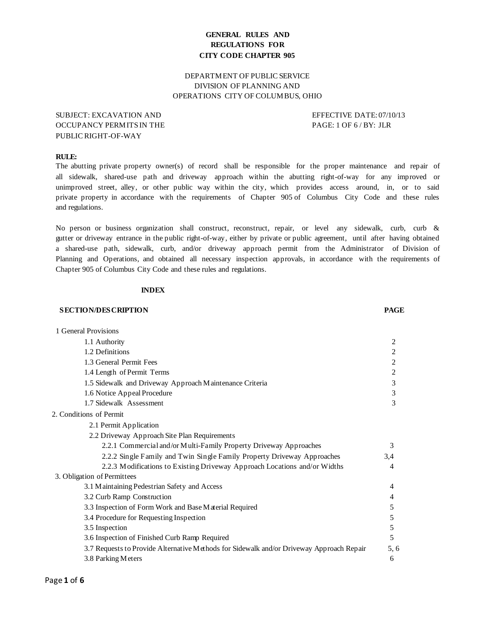# **GENERAL RULES AND REGULATIONS FOR CITY CODE CHAPTER 905**

# DEPARTMENT OF PUBLIC SERVICE DIVISION OF PLANNING AND OPERATIONS CITY OF COLUMBUS, OHIO

# SUBJECT: EXCAVATION AND EFFECTIVE DATE: 07/10/13 OCCUPANCY PERMITSIN THE PAGE: 1 OF 6 / BY: JLR PUBLIC RIGHT-OF-WAY

## **RULE:**

The abutting private property owner(s) of record shall be responsible for the proper maintenance and repair of all sidewalk, shared-use path and driveway approach within the abutting right-of-way for any improved or unimproved street, alley, or other public way within the city, which provides access around, in, or to said private property in accordance with the requirements of Chapter 905 of Columbus City Code and these rules and regulations.

No person or business organization shall construct, reconstruct, repair, or level any sidewalk, curb, curb & gutter or driveway entrance in the public right-of-way, either by private or public agreement, until after having obtained a shared-use path, sidewalk, curb, and/or driveway approach permit from the Administrator of Division of Planning and Operations, and obtained all necessary inspection approvals, in accordance with the requirements of Chapter 905 of Columbus City Code and these rules and regulations.

## **INDEX**

#### **SECTION/DESCRIPTION PAGE**

| 1 General Provisions                                                                     |                |  |
|------------------------------------------------------------------------------------------|----------------|--|
| 1.1 Authority                                                                            | 2              |  |
| 1.2 Definitions                                                                          | 2              |  |
| 1.3 General Permit Fees                                                                  | 2              |  |
| 1.4 Length of Permit Terms                                                               | 2              |  |
| 1.5 Sidewalk and Driveway Approach Maintenance Criteria                                  | 3              |  |
| 1.6 Notice Appeal Procedure                                                              | 3              |  |
| 1.7 Sidewalk Assessment                                                                  | 3              |  |
| 2. Conditions of Permit                                                                  |                |  |
| 2.1 Permit Application                                                                   |                |  |
| 2.2 Driveway Approach Site Plan Requirements                                             |                |  |
| 2.2.1 Commercial and/or Multi-Family Property Driveway Approaches                        | 3              |  |
| 2.2.2 Single Family and Twin Single Family Property Driveway Approaches                  | 3,4            |  |
| 2.2.3 Modifications to Existing Driveway Approach Locations and/or Widths                | $\overline{4}$ |  |
| 3. Obligation of Permittees                                                              |                |  |
| 3.1 Maintaining Pedestrian Safety and Access                                             | 4              |  |
| 3.2 Curb Ramp Construction                                                               | 4              |  |
| 3.3 Inspection of Form Work and Base Material Required                                   | 5              |  |
| 3.4 Procedure for Requesting Inspection                                                  | 5              |  |
| 3.5 Inspection                                                                           | 5              |  |
| 3.6 Inspection of Finished Curb Ramp Required                                            | 5              |  |
| 3.7 Requests to Provide Alternative Methods for Sidewalk and/or Driveway Approach Repair | 5, 6           |  |
| 3.8 Parking Meters                                                                       | 6              |  |
|                                                                                          |                |  |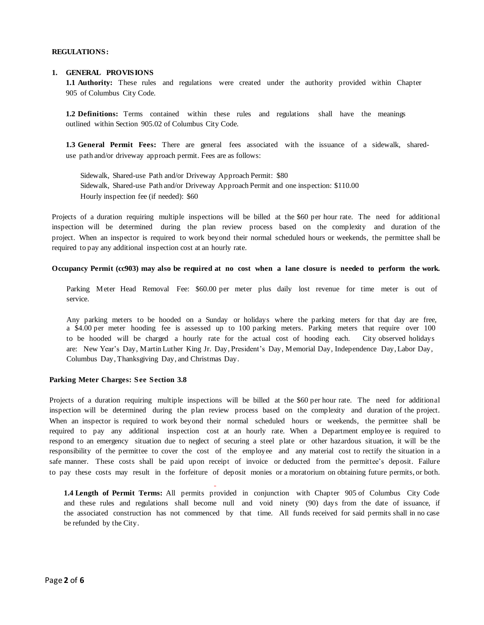#### **REGULATIONS:**

#### **1. GENERAL PROVISIONS**

**1.1 Authority:** These rules and regulations were created under the authority provided within Chapter 905 of Columbus City Code.

**1.2 Definitions:** Terms contained within these rules and regulations shall have the meanings outlined within Section 905.02 of Columbus City Code.

**1.3 General Permit Fees:** There are general fees associated with the issuance of a sidewalk, shareduse path and/or driveway approach permit. Fees are as follows:

Sidewalk, Shared-use Path and/or Driveway Approach Permit: \$80 Sidewalk, Shared-use Path and/or Driveway Approach Permit and one inspection: \$110.00 Hourly inspection fee (if needed): \$60

Projects of a duration requiring multiple inspections will be billed at the \$60 per hour rate. The need for additional inspection will be determined during the plan review process based on the complexity and duration of the project. When an inspector is required to work beyond their normal scheduled hours or weekends, the permittee shall be required to pay any additional inspection cost at an hourly rate.

#### **Occupancy Permit (cc903) may also be required at no cost when a lane closure is needed to perform the work.**

Parking Meter Head Removal Fee: \$60.00 per meter plus daily lost revenue for time meter is out of service.

Any parking meters to be hooded on a Sunday or holidays where the parking meters for that day are free, a \$4.00 per meter hooding fee is assessed up to 100 parking meters. Parking meters that require over 100 to be hooded will be charged a hourly rate for the actual cost of hooding each. City observed holidays are: New Year's Day, Martin Luther King Jr. Day, President's Day, Memorial Day, Independence Day, Labor Day, Columbus Day, Thanksgiving Day, and Christmas Day.

## **Parking Meter Charges: See Section 3.8**

Projects of a duration requiring multiple inspections will be billed at the \$60 per hour rate. The need for additional inspection will be determined during the plan review process based on the complexity and duration of the project. When an inspector is required to work beyond their normal scheduled hours or weekends, the permittee shall be required to pay any additional inspection cost at an hourly rate. When a Department employee is required to respond to an emergency situation due to neglect of securing a steel plate or other hazardous situation, it will be the responsibility of the permittee to cover the cost of the employee and any material cost to rectify the situation in a safe manner. These costs shall be paid upon receipt of invoice or deducted from the permittee's deposit. Failure to pay these costs may result in the forfeiture of deposit monies or a moratorium on obtaining future permits, or both.

**1.4 Length of Permit Terms:** All permits provided in conjunction with Chapter 905 of Columbus City Code and these rules and regulations shall become null and void ninety (90) days from the date of issuance, if the associated construction has not commenced by that time. All funds received for said permits shall in no case be refunded by the City.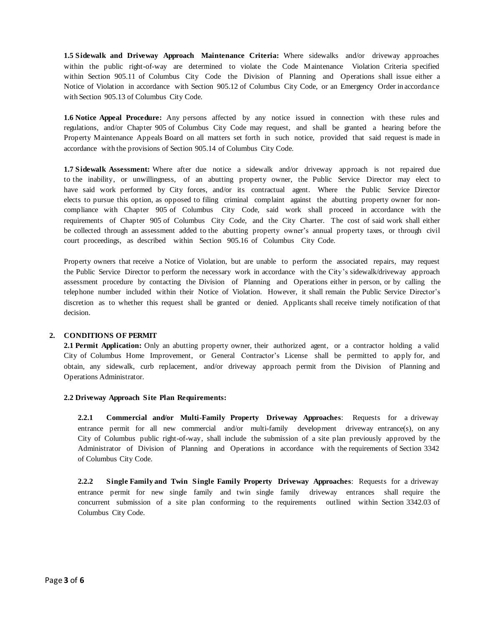**1.5 Sidewalk and Driveway Approach Maintenance Criteria:** Where sidewalks and/or driveway approaches within the public right-of-way are determined to violate the Code Maintenance Violation Criteria specified within Section 905.11 of Columbus City Code the Division of Planning and Operations shall issue either a Notice of Violation in accordance with Section 905.12 of Columbus City Code, or an Emergency Order in accordance with Section 905.13 of Columbus City Code.

**1.6 Notice Appeal Procedure:** Any persons affected by any notice issued in connection with these rules and regulations, and/or Chapter 905 of Columbus City Code may request, and shall be granted a hearing before the Property Maintenance Appeals Board on all matters set forth in such notice, provided that said request is made in accordance with the provisions of Section 905.14 of Columbus City Code.

**1.7 Sidewalk Assessment:** Where after due notice a sidewalk and/or driveway approach is not repaired due to the inability, or unwillingness, of an abutting property owner, the Public Service Director may elect to have said work performed by City forces, and/or its contractual agent. Where the Public Service Director elects to pursue this option, as opposed to filing criminal complaint against the abutting property owner for noncompliance with Chapter 905 of Columbus City Code, said work shall proceed in accordance with the requirements of Chapter 905 of Columbus City Code, and the City Charter. The cost of said work shall either be collected through an assessment added to the abutting property owner's annual property taxes, or through civil court proceedings, as described within Section 905.16 of Columbus City Code.

Property owners that receive a Notice of Violation, but are unable to perform the associated repairs, may request the Public Service Director to perform the necessary work in accordance with the City's sidewalk/driveway approach assessment procedure by contacting the Division of Planning and Operations either in person, or by calling the telephone number included within their Notice of Violation. However, it shall remain the Public Service Director's discretion as to whether this request shall be granted or denied. Applicants shall receive timely notification of that decision.

## **2. CONDITIONS OF PERMIT**

**2.1 Permit Application:** Only an abutting property owner, their authorized agent, or a contractor holding a valid City of Columbus Home Improvement, or General Contractor's License shall be permitted to apply for, and obtain, any sidewalk, curb replacement, and/or driveway approach permit from the Division of Planning and Operations Administrator.

#### **2.2 Driveway Approach Site Plan Requirements:**

**2.2.1 Commercial and/or Multi-Family Property Driveway Approaches**: Requests for a driveway entrance permit for all new commercial and/or multi-family development driveway entrance(s), on any City of Columbus public right-of-way, shall include the submission of a site plan previously approved by the Administrator of Division of Planning and Operations in accordance with the requirements of Section 3342 of Columbus City Code.

**2.2.2 Single Family and Twin Single Family Property Driveway Approaches**: Requests for a driveway entrance permit for new single family and twin single family driveway entrances shall require the concurrent submission of a site plan conforming to the requirements outlined within Section 3342.03 of Columbus City Code.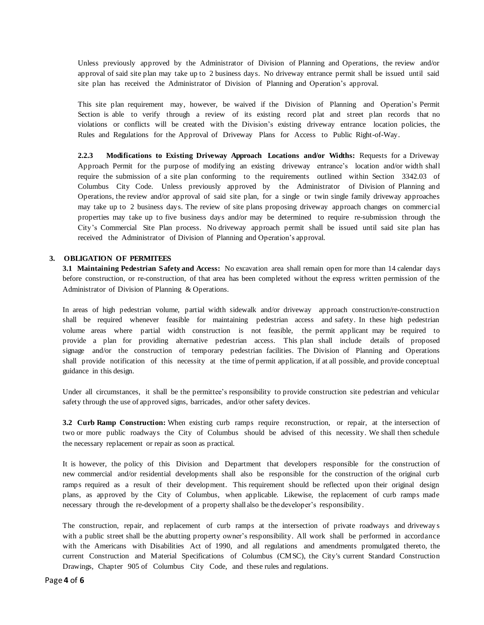Unless previously approved by the Administrator of Division of Planning and Operations, the review and/or approval of said site plan may take up to 2 business days. No driveway entrance permit shall be issued until said site plan has received the Administrator of Division of Planning and Operation's approval.

This site plan requirement may, however, be waived if the Division of Planning and Operation's Permit Section is able to verify through a review of its existing record plat and street plan records that no violations or conflicts will be created with the Division's existing driveway entrance location policies, the Rules and Regulations for the Approval of Driveway Plans for Access to Public Right-of-Way.

**2.2.3 Modifications to Existing Driveway Approach Locations and/or Widths:** Requests for a Driveway Approach Permit for the purpose of modifying an existing driveway entrance's location and/or width shall require the submission of a site plan conforming to the requirements outlined within Section 3342.03 of Columbus City Code. Unless previously approved by the Administrator of Division of Planning and Operations, the review and/or approval of said site plan, for a single or twin single family driveway approaches may take up to 2 business days. The review of site plans proposing driveway approach changes on commercial properties may take up to five business days and/or may be determined to require re-submission through the City's Commercial Site Plan process. No driveway approach permit shall be issued until said site plan has received the Administrator of Division of Planning and Operation's approval.

## **3. OBLIGATION OF PERMITEES**

**3.1 Maintaining Pedestrian Safety and Access:** No excavation area shall remain open for more than 14 calendar days before construction, or re-construction, of that area has been completed without the express written permission of the Administrator of Division of Planning & Operations.

In areas of high pedestrian volume, partial width sidewalk and/or driveway approach construction/re-construction shall be required whenever feasible for maintaining pedestrian access and safety. In these high pedestrian volume areas where partial width construction is not feasible, the permit applicant may be required to provide a plan for providing alternative pedestrian access. This plan shall include details of proposed signage and/or the construction of temporary pedestrian facilities. The Division of Planning and Operations shall provide notification of this necessity at the time of permit application, if at all possible, and provide conceptual guidance in this design.

Under all circumstances, it shall be the permittee's responsibility to provide construction site pedestrian and vehicular safety through the use of approved signs, barricades, and/or other safety devices.

**3.2 Curb Ramp Construction:** When existing curb ramps require reconstruction, or repair, at the intersection of two or more public roadways the City of Columbus should be advised of this necessity. We shall then schedule the necessary replacement or repair as soon as practical.

It is however, the policy of this Division and Department that developers responsible for the construction of new commercial and/or residential developments shall also be responsible for the construction of the original curb ramps required as a result of their development. This requirement should be reflected upon their original design plans, as approved by the City of Columbus, when applicable. Likewise, the replacement of curb ramps made necessary through the re-development of a property shall also be the developer's responsibility.

The construction, repair, and replacement of curb ramps at the intersection of private roadways and driveway s with a public street shall be the abutting property owner's responsibility. All work shall be performed in accordance with the Americans with Disabilities Act of 1990, and all regulations and amendments promulgated thereto, the current Construction and Material Specifications of Columbus (CMSC), the City's current Standard Construction Drawings, Chapter 905 of Columbus City Code, and these rules and regulations.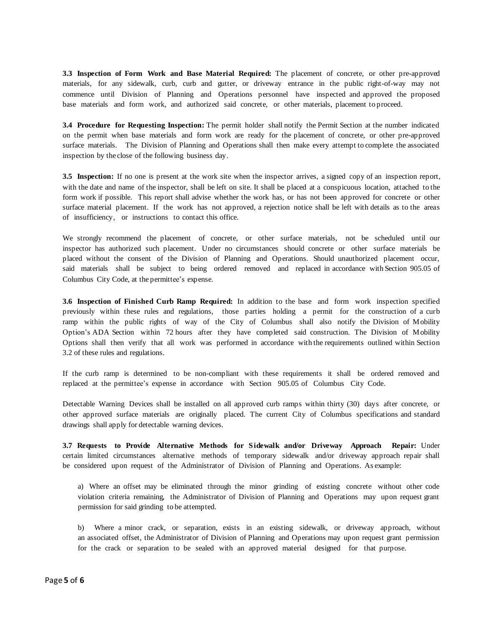**3.3 Inspection of Form Work and Base Material Required:** The placement of concrete, or other pre-approved materials, for any sidewalk, curb, curb and gutter, or driveway entrance in the public right-of-way may not commence until Division of Planning and Operations personnel have inspected and approved the proposed base materials and form work, and authorized said concrete, or other materials, placement to proceed.

**3.4 Procedure for Requesting Inspection:** The permit holder shall notify the Permit Section at the number indicated on the permit when base materials and form work are ready for the placement of concrete, or other pre-approved surface materials. The Division of Planning and Operations shall then make every attempt to complete the associated inspection by the close of the following business day.

**3.5 Inspection:** If no one is present at the work site when the inspector arrives, a signed copy of an inspection report, with the date and name of the inspector, shall be left on site. It shall be placed at a conspicuous location, attached to the form work if possible. This report shall advise whether the work has, or has not been approved for concrete or other surface material placement. If the work has not approved, a rejection notice shall be left with details as to the areas of insufficiency, or instructions to contact this office.

We strongly recommend the placement of concrete, or other surface materials, not be scheduled until our inspector has authorized such placement. Under no circumstances should concrete or other surface materials be placed without the consent of the Division of Planning and Operations. Should unauthorized placement occur, said materials shall be subject to being ordered removed and replaced in accordance with Section 905.05 of Columbus City Code, at the permittee's expense.

**3.6 Inspection of Finished Curb Ramp Required:** In addition to the base and form work inspection specified previously within these rules and regulations, those parties holding a permit for the construction of a curb ramp within the public rights of way of the City of Columbus shall also notify the Division of Mobility Option's ADA Section within 72 hours after they have completed said construction. The Division of Mobility Options shall then verify that all work was performed in accordance with the requirements outlined within Section 3.2 of these rules and regulations.

If the curb ramp is determined to be non-compliant with these requirements it shall be ordered removed and replaced at the permittee's expense in accordance with Section 905.05 of Columbus City Code.

Detectable Warning Devices shall be installed on all approved curb ramps within thirty (30) days after concrete, or other approved surface materials are originally placed. The current City of Columbus specifications and standard drawings shall apply for detectable warning devices.

**3.7 Requests to Provide Alternative Methods for Sidewalk and/or Driveway Approach Repair:** Under certain limited circumstances alternative methods of temporary sidewalk and/or driveway approach repair shall be considered upon request of the Administrator of Division of Planning and Operations. As example:

a) Where an offset may be eliminated through the minor grinding of existing concrete without other code violation criteria remaining, the Administrator of Division of Planning and Operations may upon request grant permission for said grinding to be attempted.

b) Where a minor crack, or separation, exists in an existing sidewalk, or driveway approach, without an associated offset, the Administrator of Division of Planning and Operations may upon request grant permission for the crack or separation to be sealed with an approved material designed for that purpose.